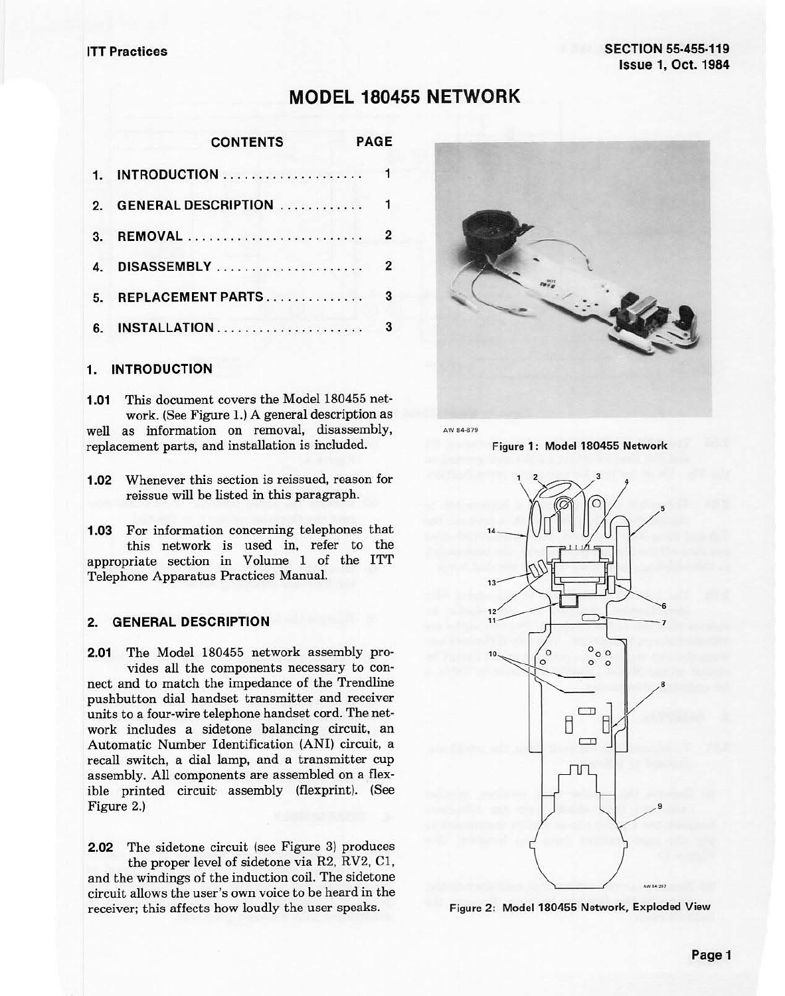# **MODEL 180455 NETWORK**

|               | <b>CONTENTS</b>             | <b>PAGE</b>    |
|---------------|-----------------------------|----------------|
|               |                             |                |
| $\mathcal{P}$ | <b>GENERAL DESCRIPTION </b> | $\mathbf{1}$   |
| 3.            |                             | $\overline{2}$ |
| 4.            |                             | $\overline{2}$ |
| 5.            | REPLACEMENT PARTS           | 3              |
| 6.            |                             | 3              |

# **1. INTRODUCTION**

**1.01** This document covers the Model 180455 network. (See Figure 1.) A general description as well as information on removal, disassembly, replacement parts, and installation is included.

**1.02** Whenever this section is reissued, reason for reissue will be listed in this paragraph.

**1.03** For information concerning telephones that this network is used in, refer to the appropriate section in Volume 1 of the ITT Telephone Apparatus Practices Manual.

# **2. GENERAL DESCRIPTION**

**2.01** The Model 180455 network assembly provides all the components necessary to connect and to match the impedance of the Trendline pushbutton dial handset transmitter and receiver units to a four-wire telephone handset cord. The network includes a sidetone balancing circuit, an Automatic Number Identification **(ANI)** circuit, a recall switch, a dial lamp, and a transmitter cup assembly. All components are assembled on a flexible printed circuit assembly (flexprint). (See Figure 2.)

**2.02** The sidetone circuit (see Figure 3) produces the proper level of sidetone via R2, RV2, Cl, and the windings of the induction coil. The sidetone circuit allows the user's own voice to be heard in the receiver; this affects how loudly the user speaks.



AW 84-879

**Figure 1: Model 180455 Network** 



Figure **2: Model 180455 Network, Exploded View**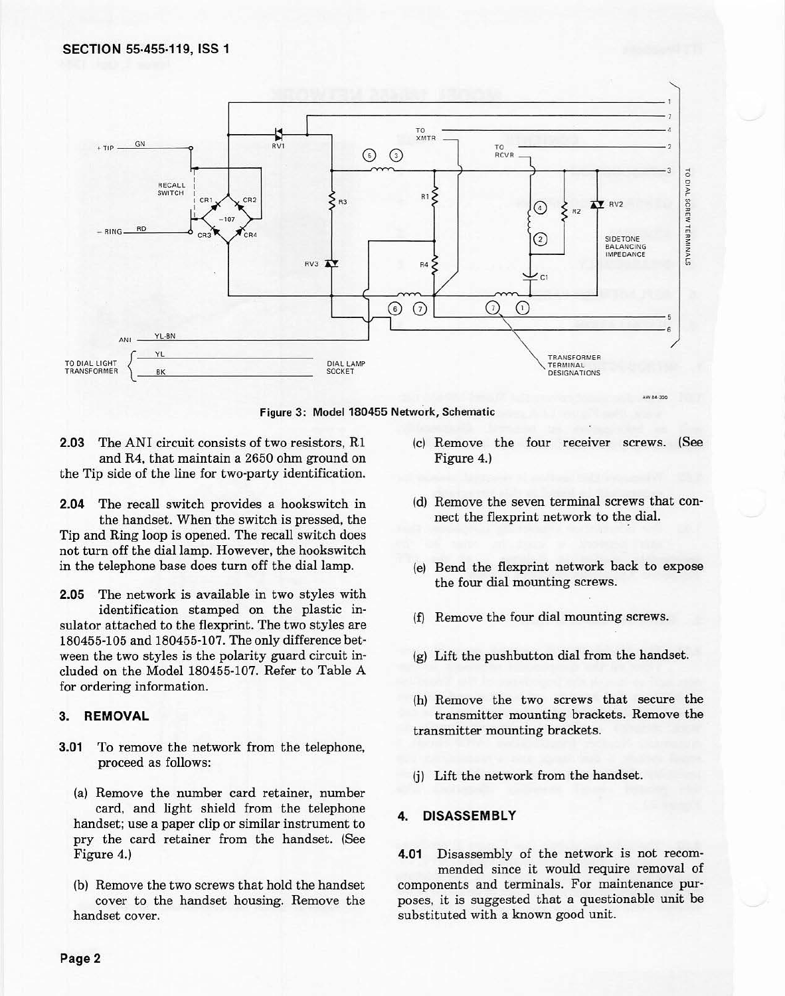

**Figure 3: Model 180455 Network, Schematic** 

**2.03** The ANI circuit consists of two resistors, Rl and R4, that maintain a 2650 ohm ground on the Tip side of the line for two-party identification.

**2.04** The recall switch provides a hookswitch in the handset. When the switch is pressed, the Tip and Ring loop is opened. The recall switch does not turn off the dial lamp. However, the hookswitch in the telephone base does turn off the dial lamp.

**2.05** The network is available in two styles with identification stamped on the plastic in· sulator attached to the flexprint. The two styles are 180455-105 and 180455-107. The only difference bet· ween the two styles is the polarity guard circuit included on the Model 180455-107. Refer to Table A for ordering information.

## **3. REMOVAL**

- **3.01** To remove the network from the telephone, proceed as follows:
	- (a) Remove the number card retainer, number card, and light shield from the telephone handset; use a paper clip or similar instrument to pry the card retainer from the handset. (See Figure 4.)
	- (b) Remove the two screws that hold the handset cover to the handset housing. Remove the handset cover.
- (c) Remove the four receiver screws. (See Figure 4.)
- (d) Remove the seven terminal screws that con· nect the flexprint network to the dial.
- (e) Bend the flexprint network back to expose the four dial mounting screws.
- (f) Remove the four dial mounting screws.
- (g) Lift the pushbutton dial from the handset.
- (h) Remove the two screws that secure the transmitter mounting brackets. Remove the transmitter mounting brackets.
- (j) Lift the network from the handset.

# **4. DISASSEMBLY**

**4.01** Disassembly of the network is not recommended since it would require removal of components and terminals. For maintenance purposes, it is suggested that a questionable unit be substituted with a known good unit.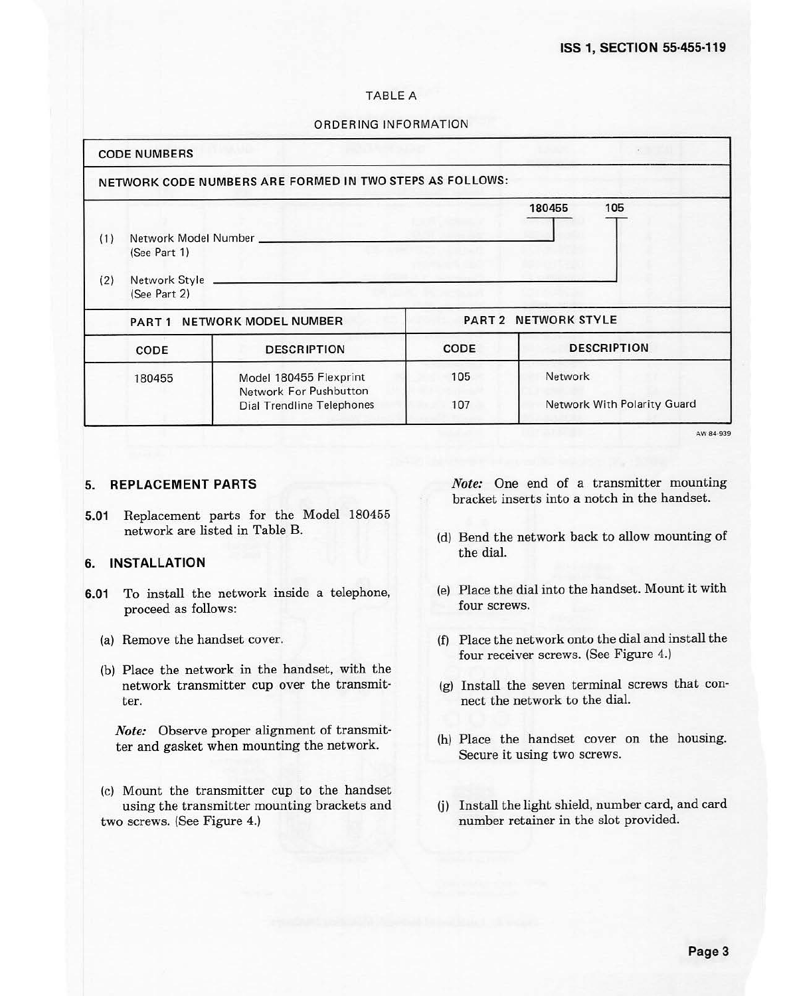# TABLE A

#### ORDERING INFORMATION

|            | <b>CODE NUMBERS</b>                                                                           |                                                                               |             |                                        |  |  |
|------------|-----------------------------------------------------------------------------------------------|-------------------------------------------------------------------------------|-------------|----------------------------------------|--|--|
|            |                                                                                               | NETWORK CODE NUMBERS ARE FORMED IN TWO STEPS AS FOLLOWS:                      |             |                                        |  |  |
| (1)<br>(2) | 105<br>180455<br>Network Model Number<br>(See Part 1)<br>Network Style ______<br>(See Part 2) |                                                                               |             |                                        |  |  |
|            | PART 1 NETWORK MODEL NUMBER                                                                   |                                                                               |             | <b>PART 2 NETWORK STYLE</b>            |  |  |
|            | CODE                                                                                          | <b>DESCRIPTION</b>                                                            | <b>CODE</b> | <b>DESCRIPTION</b>                     |  |  |
|            | 180455                                                                                        | Model 180455 Flexprint<br>Network For Pushbutton<br>Dial Trendline Telephones | 105<br>107  | Network<br>Network With Polarity Guard |  |  |

**A.W84•939** 

# **5. REPLACEMENT PARTS**

**5.01** Replacement parts for the Model 180455 network are listed in Table B.

# **6. INSTALLATION**

- **6.01** To install the network inside a telephone, proceed as follows:
	- (a) Remove the handset cover.
	- (b) Place the network in the handset, with the network transmitter cup over the transmit· ter.

*Note:* Observe proper alignment of transmitter and gasket when mounting the network.

(c) Mount the transmitter cup to the handset using the transmitter mounting brackets and two screws. (See Figure 4.)

*Note:* One end of a transmitter mounting bracket inserts into a notch in the handset.

- (d) Bend the network back to allow mounting of the dial.
- (e) Place the dial into the handset. Mount it with four screws.
- (f) Place the network onto the dial and install the four receiver screws. (See Figure 4.)
- (g) Install the seven terminal screws that connect the network to the dial.
- (h) Place the handset cover on the housing. Secure it using two screws.
- (j) Install the light shield, number card, and card number retainer in the slot provided.